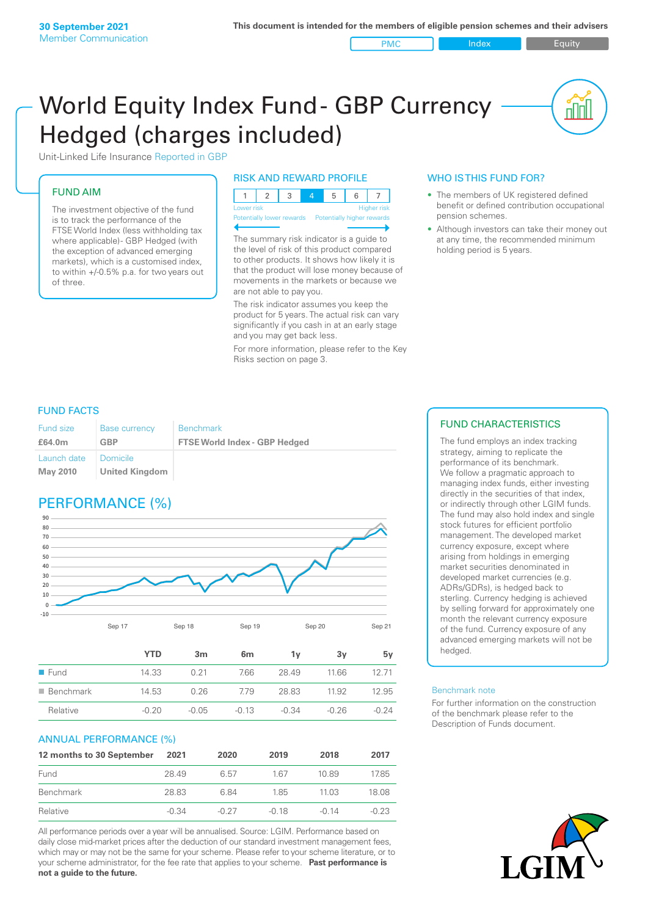PMC Index PMC Equity

<u>nul</u>

# World Equity Index Fund- GBP Currency Hedged (charges included)



## FUND AIM

The investment objective of the fund is to track the performance of the FTSE World Index (less withholding tax where applicable) - GBP Hedged (with the exception of advanced emerging markets), which is a customised index, to within +/‑0.5% p.a. for two years out of three.

#### RISK AND REWARD PROFILE

| Lower risk |  |  | <b>Higher</b> risk |  |
|------------|--|--|--------------------|--|

Potentially lower rewards Pote

The summary risk indicator is a guide to the level of risk of this product compared to other products. It shows how likely it is that the product will lose money because of movements in the markets or because we are not able to pay you.

The risk indicator assumes you keep the product for 5 years. The actual risk can vary significantly if you cash in at an early stage and you may get back less.

For more information, please refer to the Key Risks section on page 3.

## WHO IS THIS FUND FOR?

- The members of UK registered defined benefit or defined contribution occupational pension schemes.
- Although investors can take their money out at any time, the recommended minimum holding period is 5 years.

## FUND FACTS

| <b>Fund size</b>               | <b>Base currency</b>         | <b>Benchmark</b>                     |
|--------------------------------|------------------------------|--------------------------------------|
| £64.0m                         | <b>GBP</b>                   | <b>FTSE World Index - GBP Hedged</b> |
| Launch date<br><b>May 2010</b> | I Domicile<br>United Kingdom |                                      |

# PERFORMANCE (%)



|                          | YTD     | 3m      | 6 <sub>m</sub> | 1v      | З٧      | 5v      |
|--------------------------|---------|---------|----------------|---------|---------|---------|
| $\blacksquare$ Fund      | 14.33   | 0.21    | 7.66           | 28.49   | 1166    | 12 71   |
| $\blacksquare$ Benchmark | 14.53   | 0.26    | 779            | 28.83   | 11.92   | 12.95   |
| Relative                 | $-0.20$ | $-0.05$ | $-0.13$        | $-0.34$ | $-0.26$ | $-0.24$ |

#### ANNUAL PERFORMANCE (%)

| 12 months to 30 September | 2021    | 2020    | 2019  | 2018    | 2017    |
|---------------------------|---------|---------|-------|---------|---------|
| Fund                      | 28.49   | 6.57    | 167   | 10.89   | 17.85   |
| Benchmark                 | 28.83   | 684     | 185   | 1103    | 18.08   |
| Relative                  | $-0.34$ | $-0.27$ | -0.18 | $-0.14$ | $-0.23$ |

All performance periods over a year will be annualised. Source: LGIM. Performance based on daily close mid-market prices after the deduction of our standard investment management fees, which may or may not be the same for your scheme. Please refer to your scheme literature, or to your scheme administrator, for the fee rate that applies to your scheme. **Past performance is not a guide to the future.**

## FUND CHARACTERISTICS

The fund employs an index tracking strategy, aiming to replicate the performance of its benchmark. We follow a pragmatic approach to managing index funds, either investing directly in the securities of that index, or indirectly through other LGIM funds. The fund may also hold index and single stock futures for efficient portfolio management. The developed market currency exposure, except where arising from holdings in emerging market securities denominated in developed market currencies (e.g. ADRs/GDRs), is hedged back to sterling. Currency hedging is achieved by selling forward for approximately one month the relevant currency exposure of the fund. Currency exposure of any advanced emerging markets will not be hedged.

#### Benchmark note

For further information on the construction of the benchmark please refer to the Description of Funds document.

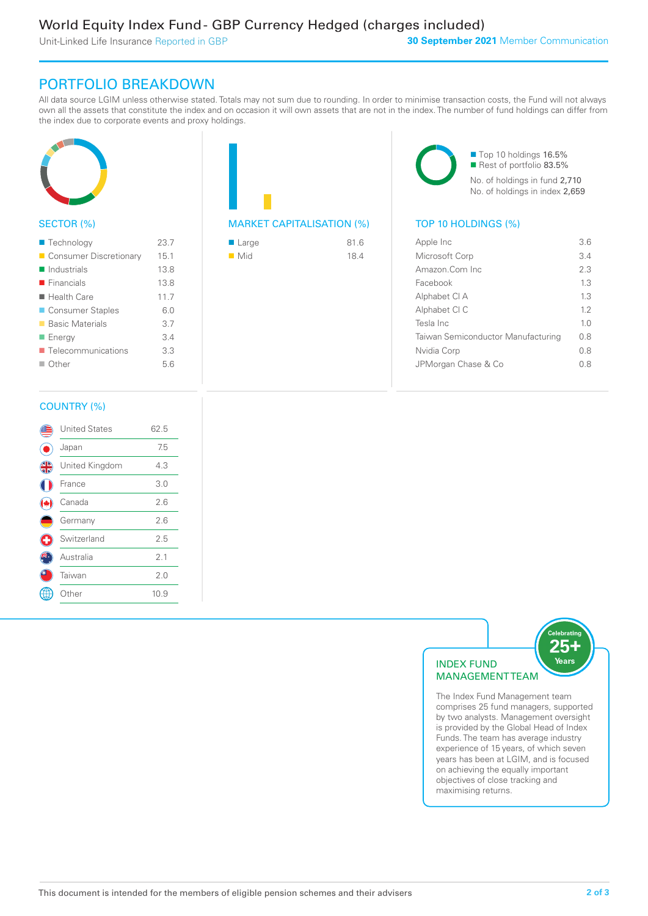Unit-Linked Life Insurance Reported in GBP

# PORTFOLIO BREAKDOWN

All data source LGIM unless otherwise stated. Totals may not sum due to rounding. In order to minimise transaction costs, the Fund will not always own all the assets that constitute the index and on occasion it will own assets that are not in the index. The number of fund holdings can differ from the index due to corporate events and proxy holdings.



## SECTOR (%)

| ■ Technology               | 23.7 |
|----------------------------|------|
| Consumer Discretionary     | 15.1 |
| $\blacksquare$ Industrials | 13.8 |
| $\blacksquare$ Financials  | 13.8 |
| $\blacksquare$ Health Care | 11.7 |
| ■ Consumer Staples         | 6.0  |
| ■ Basic Materials          | 3.7  |
| ■ Energy                   | 3.4  |
| ■ Telecommunications       | 3.3  |
| $\Box$ Other               | 5.6  |
|                            |      |

| <b>MARKET CAPITALISATION (%)</b> |  |
|----------------------------------|--|

| $\blacksquare$ Large | 81.6 |
|----------------------|------|
| $\blacksquare$ Mid   | 18.4 |

■ Top 10 holdings 16.5% Rest of portfolio 83.5% No. of holdings in fund 2,710 No. of holdings in index 2,659

## TOP 10 HOLDINGS (%)

| Apple Inc                          | 3.6            |
|------------------------------------|----------------|
| Microsoft Corp                     | 34             |
| Amazon.Com Inc                     | 23             |
| Facebook                           | 1.3            |
| Alphabet CI A                      | 13             |
| Alphabet CI C                      | 12             |
| Tesla Inc                          | 1 <sub>0</sub> |
| Taiwan Semiconductor Manufacturing | 0 S            |
| Nvidia Corp                        | 0 S            |
| JPMorgan Chase & Co                | ( ) X          |
|                                    |                |

## COUNTRY (%)

|                | <b>United States</b> | 62.5 |  |
|----------------|----------------------|------|--|
|                | Japan                | 7.5  |  |
| $\frac{4}{12}$ | United Kingdom       | 4.3  |  |
|                | France               | 3.0  |  |
|                | Canada               | 2.6  |  |
|                | Germany              | 2.6  |  |
| Œ              | Switzerland          | 2.5  |  |
|                | Australia            | 2.1  |  |
|                | Taiwan               | 2.0  |  |
|                | Other                | 10.9 |  |
|                |                      |      |  |



comprises 25 fund managers, supported by two analysts. Management oversight is provided by the Global Head of Index Funds. The team has average industry experience of 15 years, of which seven years has been at LGIM, and is focused on achieving the equally important objectives of close tracking and maximising returns.